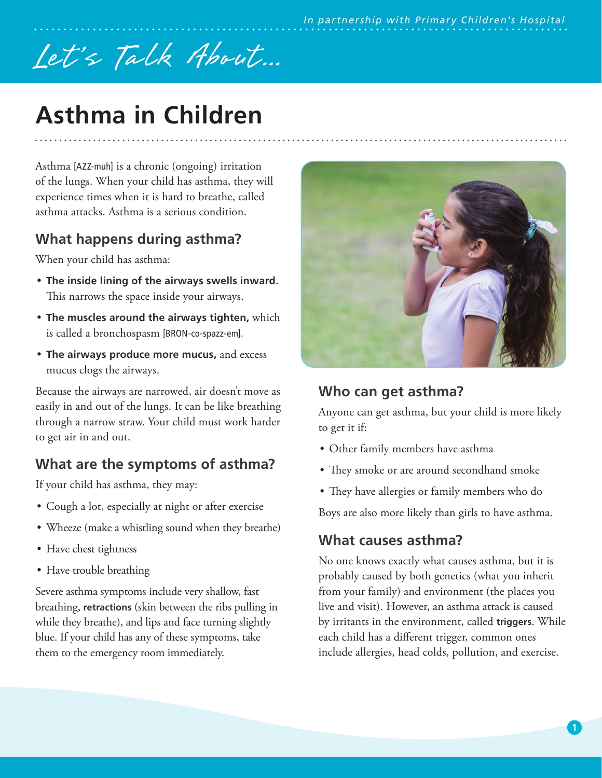# Let's Talk About...

# **Asthma in Children**

Asthma [AZZ-muh] is a chronic (ongoing) irritation of the lungs. When your child has asthma, they will experience times when it is hard to breathe, called asthma attacks. Asthma is a serious condition.

### **What happens during asthma?**

When your child has asthma:

- **The inside lining of the airways swells inward.** This narrows the space inside your airways.
- **The muscles around the airways tighten,** which is called a bronchospasm [BRON-co-spazz-em].
- **The airways produce more mucus,** and excess mucus clogs the airways.

Because the airways are narrowed, air doesn't move as easily in and out of the lungs. It can be like breathing through a narrow straw. Your child must work harder to get air in and out.

## **What are the symptoms of asthma?**

If your child has asthma, they may:

- Cough a lot, especially at night or after exercise
- Wheeze (make a whistling sound when they breathe)
- Have chest tightness
- Have trouble breathing

Severe asthma symptoms include very shallow, fast breathing, **retractions** (skin between the ribs pulling in while they breathe), and lips and face turning slightly blue. If your child has any of these symptoms, take them to the emergency room immediately.



#### **Who can get asthma?**

Anyone can get asthma, but your child is more likely to get it if:

- Other family members have asthma
- They smoke or are around secondhand smoke
- They have allergies or family members who do

Boys are also more likely than girls to have asthma.

#### **What causes asthma?**

No one knows exactly what causes asthma, but it is probably caused by both genetics (what you inherit from your family) and environment (the places you live and visit). However, an asthma attack is caused by irritants in the environment, called **triggers**. While each child has a different trigger, common ones include allergies, head colds, pollution, and exercise.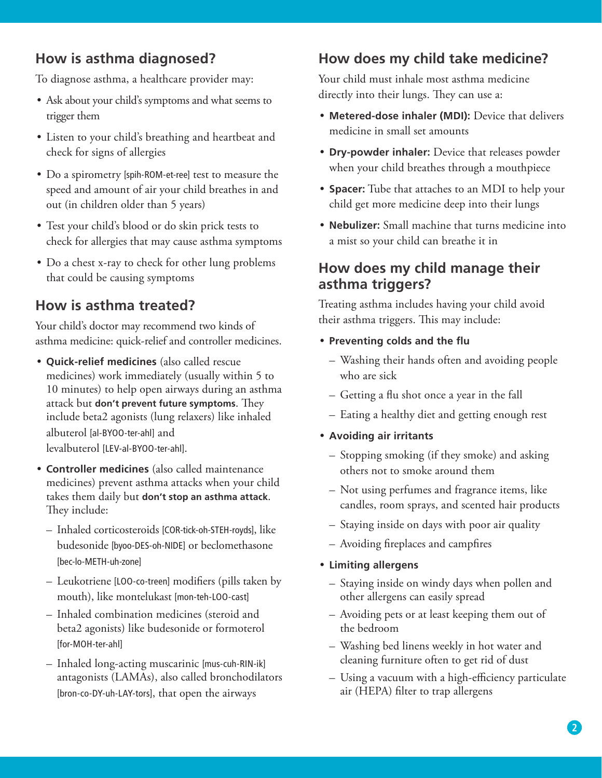#### **How is asthma diagnosed?**

To diagnose asthma, a healthcare provider may:

- Ask about your child's symptoms and what seems to trigger them
- Listen to your child's breathing and heartbeat and check for signs of allergies
- Do a spirometry [spih-ROM-et-ree] test to measure the speed and amount of air your child breathes in and out (in children older than 5 years)
- Test your child's blood or do skin prick tests to check for allergies that may cause asthma symptoms
- Do a chest x-ray to check for other lung problems that could be causing symptoms

#### **How is asthma treated?**

Your child's doctor may recommend two kinds of asthma medicine: quick-relief and controller medicines.

- **Quick-relief medicines** (also called rescue medicines) work immediately (usually within 5 to 10 minutes) to help open airways during an asthma attack but **don't prevent future symptoms**. They include beta2 agonists (lung relaxers) like inhaled albuterol [al-BYOO-ter-ahl] and levalbuterol [LEV-al-BYOO-ter-ahl].
- **Controller medicines** (also called maintenance medicines) prevent asthma attacks when your child takes them daily but **don't stop an asthma attack**. They include:
	- Inhaled corticosteroids [COR-tick-oh-STEH-royds], like budesonide [byoo-DES-oh-NIDE] or beclomethasone [bec-lo-METH-uh-zone]
	- Leukotriene [LOO-co-treen] modifiers (pills taken by mouth), like montelukast [mon-teh-LOO-cast]
	- Inhaled combination medicines (steroid and beta2 agonists) like budesonide or formoterol [for-MOH-ter-ahl]
	- Inhaled long-acting muscarinic [mus-cuh-RIN-ik] antagonists (LAMAs), also called bronchodilators [bron-co-DY-uh-LAY-tors], that open the airways

### **How does my child take medicine?**

Your child must inhale most asthma medicine directly into their lungs. They can use a:

- **Metered-dose inhaler (MDI):** Device that delivers medicine in small set amounts
- **Dry-powder inhaler:** Device that releases powder when your child breathes through a mouthpiece
- **Spacer:** Tube that attaches to an MDI to help your child get more medicine deep into their lungs
- **Nebulizer:** Small machine that turns medicine into a mist so your child can breathe it in

#### **How does my child manage their asthma triggers?**

Treating asthma includes having your child avoid their asthma triggers. This may include:

- **Preventing colds and the flu**
	- Washing their hands often and avoiding people who are sick
	- Getting a flu shot once a year in the fall
	- Eating a healthy diet and getting enough rest
- **Avoiding air irritants**
	- Stopping smoking (if they smoke) and asking others not to smoke around them
	- Not using perfumes and fragrance items, like candles, room sprays, and scented hair products
	- Staying inside on days with poor air quality
	- Avoiding fireplaces and campfires

#### • **Limiting allergens**

- Staying inside on windy days when pollen and other allergens can easily spread
- Avoiding pets or at least keeping them out of the bedroom
- Washing bed linens weekly in hot water and cleaning furniture often to get rid of dust
- Using a vacuum with a high-efficiency particulate air (HEPA) filter to trap allergens